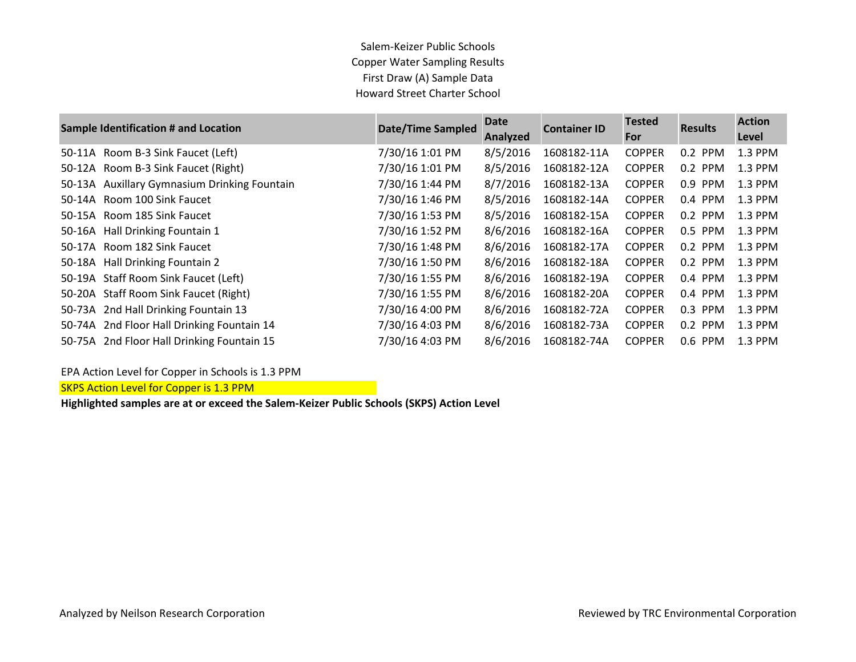## Salem-Keizer Public Schools Copper Water Sampling Results First Draw (A) Sample Data Howard Street Charter School

| <b>Sample Identification # and Location</b> |                                              | <b>Date/Time Sampled</b> | Date<br>Analyzed | <b>Container ID</b> | <b>Tested</b> | <b>Results</b>                 | <b>Action</b> |
|---------------------------------------------|----------------------------------------------|--------------------------|------------------|---------------------|---------------|--------------------------------|---------------|
|                                             |                                              |                          |                  |                     | For           |                                | Level         |
| 50-11A                                      | Room B-3 Sink Faucet (Left)                  | 7/30/16 1:01 PM          | 8/5/2016         | 1608182-11A         | <b>COPPER</b> | $0.2$ PPM                      | 1.3 PPM       |
|                                             | 50-12A Room B-3 Sink Faucet (Right)          | 7/30/16 1:01 PM          | 8/5/2016         | 1608182-12A         | <b>COPPER</b> | $0.2$ PPM                      | $1.3$ PPM     |
|                                             | 50-13A Auxillary Gymnasium Drinking Fountain | 7/30/16 1:44 PM          | 8/7/2016         | 1608182-13A         | <b>COPPER</b> | 0.9 <sub>0</sub><br><b>PPM</b> | 1.3 PPM       |
| 50-14A                                      | Room 100 Sink Faucet                         | 7/30/16 1:46 PM          | 8/5/2016         | 1608182-14A         | <b>COPPER</b> | $0.4$ PPM                      | 1.3 PPM       |
| 50-15A                                      | Room 185 Sink Faucet                         | 7/30/16 1:53 PM          | 8/5/2016         | 1608182-15A         | <b>COPPER</b> | $0.2$ PPM                      | 1.3 PPM       |
|                                             | 50-16A Hall Drinking Fountain 1              | 7/30/16 1:52 PM          | 8/6/2016         | 1608182-16A         | <b>COPPER</b> | 0.5 PPM                        | 1.3 PPM       |
| 50-17A                                      | Room 182 Sink Faucet                         | 7/30/16 1:48 PM          | 8/6/2016         | 1608182-17A         | <b>COPPER</b> | $0.2$ PPM                      | 1.3 PPM       |
|                                             | 50-18A Hall Drinking Fountain 2              | 7/30/16 1:50 PM          | 8/6/2016         | 1608182-18A         | <b>COPPER</b> | $0.2$ PPM                      | 1.3 PPM       |
|                                             | 50-19A Staff Room Sink Faucet (Left)         | 7/30/16 1:55 PM          | 8/6/2016         | 1608182-19A         | <b>COPPER</b> | $0.4$ PPM                      | 1.3 PPM       |
|                                             | 50-20A Staff Room Sink Faucet (Right)        | 7/30/16 1:55 PM          | 8/6/2016         | 1608182-20A         | <b>COPPER</b> | 0.4 PPM                        | $1.3$ PPM     |
|                                             | 50-73A 2nd Hall Drinking Fountain 13         | 7/30/16 4:00 PM          | 8/6/2016         | 1608182-72A         | <b>COPPER</b> | $0.3$ PPM                      | 1.3 PPM       |
|                                             | 50-74A 2nd Floor Hall Drinking Fountain 14   | 7/30/16 4:03 PM          | 8/6/2016         | 1608182-73A         | <b>COPPER</b> | $0.2$ PPM                      | 1.3 PPM       |
|                                             | 50-75A 2nd Floor Hall Drinking Fountain 15   | 7/30/16 4:03 PM          | 8/6/2016         | 1608182-74A         | <b>COPPER</b> | $0.6$ PPM                      | 1.3 PPM       |

EPA Action Level for Copper in Schools is 1.3 PPM

SKPS Action Level for Copper is 1.3 PPM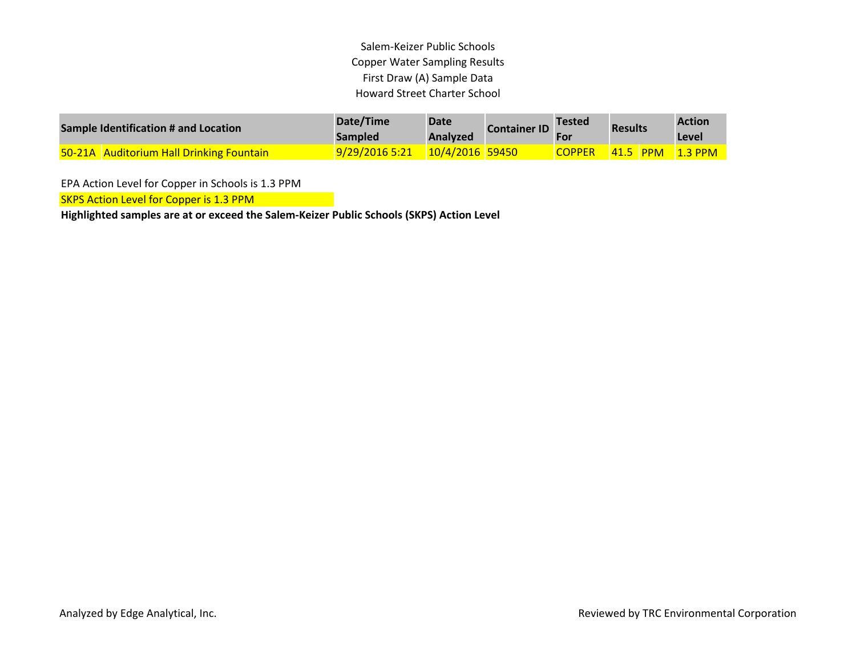Salem-Keizer Public Schools Copper Water Sampling Results First Draw (A) Sample Data Howard Street Charter School

| Sample Identification # and Location |                                                 | Date/Time<br><b>Sampled</b> | Date<br><b>Analyzed</b> | Container ID | <b>Tested</b><br><b>For</b> | <b>Results</b> |  | <b>Action</b><br>Level |
|--------------------------------------|-------------------------------------------------|-----------------------------|-------------------------|--------------|-----------------------------|----------------|--|------------------------|
|                                      | <b>50-21A</b> Auditorium Hall Drinking Fountain | 9/29/2016 5:21              | 10/4/2016 59450         |              | <b>COPPER</b>               |                |  | 141.5 PPM 1.3 PPM      |

EPA Action Level for Copper in Schools is 1.3 PPM

SKPS Action Level for Copper is 1.3 PPM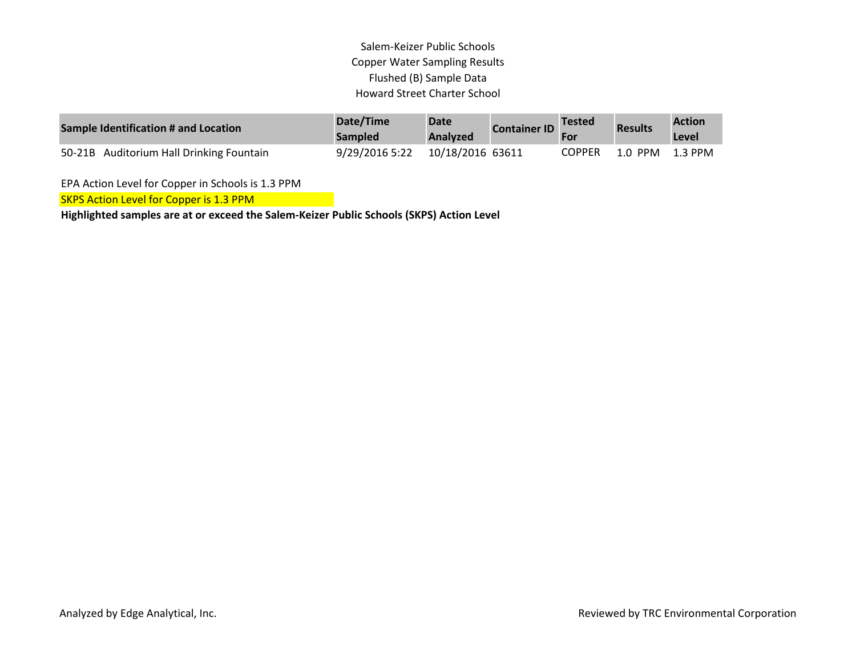## Salem-Keizer Public Schools Copper Water Sampling Results Flushed (B) Sample Data Howard Street Charter School

| Sample Identification # and Location     | Date/Time<br><b>Sampled</b> | Date<br>Analyzed | <b>Container ID</b> | <b>Tested</b><br>For | <b>Results</b> | <b>Action</b><br>Level |
|------------------------------------------|-----------------------------|------------------|---------------------|----------------------|----------------|------------------------|
| 50-21B Auditorium Hall Drinking Fountain | 9/29/2016 5:22              | 10/18/2016 63611 |                     | <b>COPPER</b>        | 1.0 PPM        | 1.3 PPM                |

EPA Action Level for Copper in Schools is 1.3 PPM

SKPS Action Level for Copper is 1.3 PPM